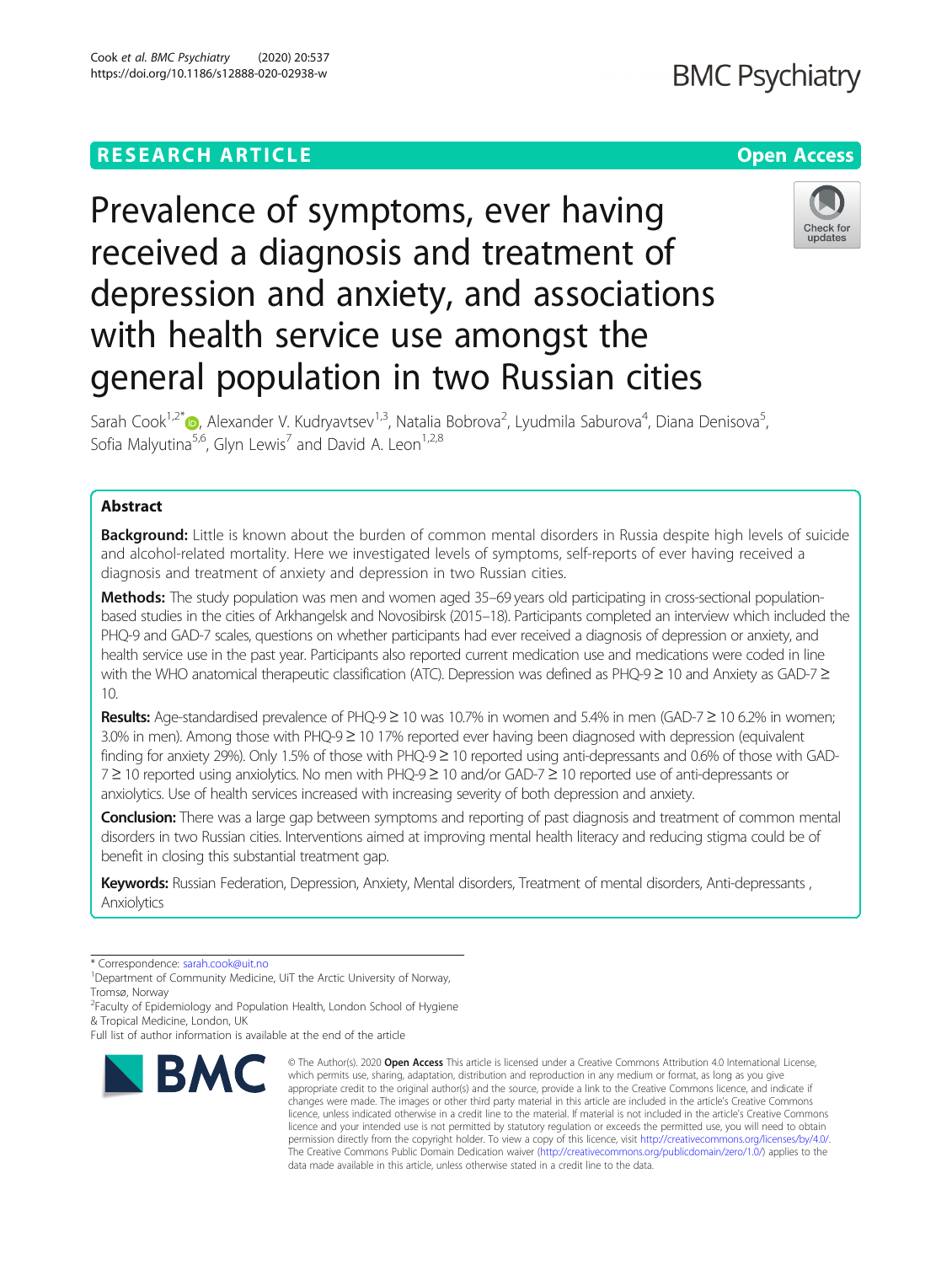# **RESEARCH ARTICLE Example 2018 12:30 THE OPEN ACCESS**

# Prevalence of symptoms, ever having received a diagnosis and treatment of depression and anxiety, and associations with health service use amongst the general population in two Russian cities

Sarah Cook<sup>1[,](https://orcid.org/0000-0003-1250-2967)2\*</sup>®, Alexander V. Kudryavtsev<sup>1,3</sup>, Natalia Bobrova<sup>2</sup>, Lyudmila Saburova<sup>4</sup>, Diana Denisova<sup>5</sup> , Sofia Malyutina<sup>5,6</sup>, Glyn Lewis<sup>7</sup> and David A. Leon<sup>1,2,8</sup>

# Abstract

**Background:** Little is known about the burden of common mental disorders in Russia despite high levels of suicide and alcohol-related mortality. Here we investigated levels of symptoms, self-reports of ever having received a diagnosis and treatment of anxiety and depression in two Russian cities.

Methods: The study population was men and women aged 35–69 years old participating in cross-sectional populationbased studies in the cities of Arkhangelsk and Novosibirsk (2015–18). Participants completed an interview which included the PHQ-9 and GAD-7 scales, questions on whether participants had ever received a diagnosis of depression or anxiety, and health service use in the past year. Participants also reported current medication use and medications were coded in line with the WHO anatomical therapeutic classification (ATC). Depression was defined as PHQ-9 ≥ 10 and Anxiety as GAD-7 ≥ 10.

Results: Age-standardised prevalence of PHQ-9 ≥ 10 was 10.7% in women and 5.4% in men (GAD-7 ≥ 10 6.2% in women; 3.0% in men). Among those with PHQ-9 ≥ 10 17% reported ever having been diagnosed with depression (equivalent finding for anxiety 29%). Only 1.5% of those with PHQ-9 ≥ 10 reported using anti-depressants and 0.6% of those with GAD-7 ≥ 10 reported using anxiolytics. No men with PHQ-9≥ 10 and/or GAD-7 ≥ 10 reported use of anti-depressants or anxiolytics. Use of health services increased with increasing severity of both depression and anxiety.

Conclusion: There was a large gap between symptoms and reporting of past diagnosis and treatment of common mental disorders in two Russian cities. Interventions aimed at improving mental health literacy and reducing stigma could be of benefit in closing this substantial treatment gap.

Keywords: Russian Federation, Depression, Anxiety, Mental disorders, Treatment of mental disorders, Anti-depressants, Anxiolytics

\* Correspondence: [sarah.cook@uit.no](mailto:sarah.cook@uit.no) <sup>1</sup>

<sup>1</sup>Department of Community Medicine, UiT the Arctic University of Norway, Tromsø, Norway

<sup>2</sup> Faculty of Epidemiology and Population Health, London School of Hygiene

& Tropical Medicine, London, UK Full list of author information is available at the end of the article

**BMC** 

#### © The Author(s), 2020 **Open Access** This article is licensed under a Creative Commons Attribution 4.0 International License, which permits use, sharing, adaptation, distribution and reproduction in any medium or format, as long as you give appropriate credit to the original author(s) and the source, provide a link to the Creative Commons licence, and indicate if changes were made. The images or other third party material in this article are included in the article's Creative Commons licence, unless indicated otherwise in a credit line to the material. If material is not included in the article's Creative Commons licence and your intended use is not permitted by statutory regulation or exceeds the permitted use, you will need to obtain permission directly from the copyright holder. To view a copy of this licence, visit [http://creativecommons.org/licenses/by/4.0/.](http://creativecommons.org/licenses/by/4.0/) The Creative Commons Public Domain Dedication waiver [\(http://creativecommons.org/publicdomain/zero/1.0/](http://creativecommons.org/publicdomain/zero/1.0/)) applies to the data made available in this article, unless otherwise stated in a credit line to the data.



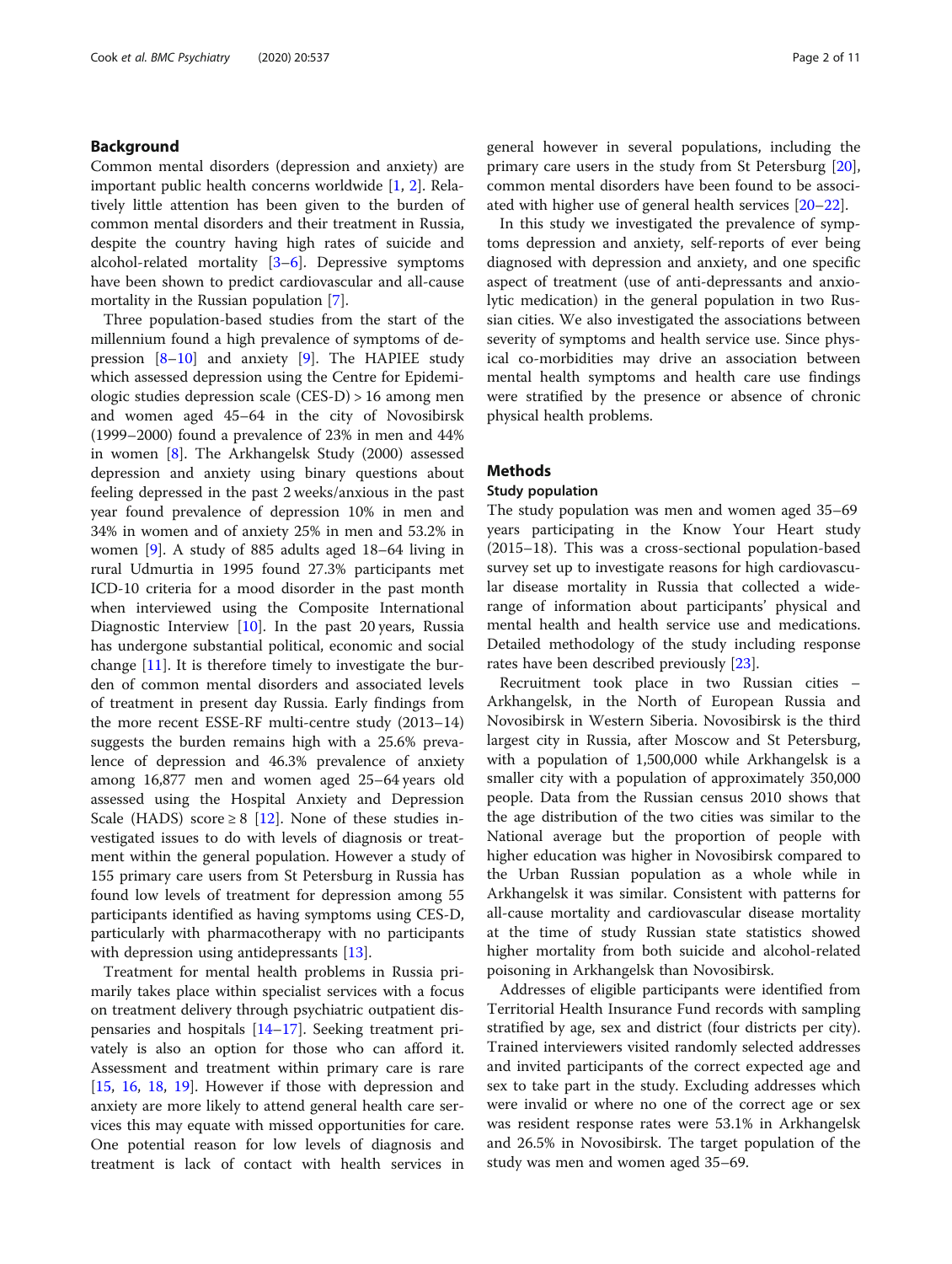# Background

Common mental disorders (depression and anxiety) are important public health concerns worldwide [[1,](#page-9-0) [2](#page-9-0)]. Relatively little attention has been given to the burden of common mental disorders and their treatment in Russia, despite the country having high rates of suicide and alcohol-related mortality [[3](#page-9-0)–[6\]](#page-9-0). Depressive symptoms have been shown to predict cardiovascular and all-cause mortality in the Russian population [[7\]](#page-9-0).

Three population-based studies from the start of the millennium found a high prevalence of symptoms of depression  $[8-10]$  $[8-10]$  $[8-10]$  $[8-10]$  and anxiety  $[9]$  $[9]$ . The HAPIEE study which assessed depression using the Centre for Epidemiologic studies depression scale (CES-D) > 16 among men and women aged 45–64 in the city of Novosibirsk (1999–2000) found a prevalence of 23% in men and 44% in women [\[8](#page-9-0)]. The Arkhangelsk Study (2000) assessed depression and anxiety using binary questions about feeling depressed in the past 2 weeks/anxious in the past year found prevalence of depression 10% in men and 34% in women and of anxiety 25% in men and 53.2% in women [[9\]](#page-9-0). A study of 885 adults aged 18–64 living in rural Udmurtia in 1995 found 27.3% participants met ICD-10 criteria for a mood disorder in the past month when interviewed using the Composite International Diagnostic Interview [\[10](#page-9-0)]. In the past 20 years, Russia has undergone substantial political, economic and social change [[11\]](#page-9-0). It is therefore timely to investigate the burden of common mental disorders and associated levels of treatment in present day Russia. Early findings from the more recent ESSE-RF multi-centre study (2013–14) suggests the burden remains high with a 25.6% prevalence of depression and 46.3% prevalence of anxiety among 16,877 men and women aged 25–64 years old assessed using the Hospital Anxiety and Depression Scale (HADS) score  $\geq 8$  [\[12](#page-9-0)]. None of these studies investigated issues to do with levels of diagnosis or treatment within the general population. However a study of 155 primary care users from St Petersburg in Russia has found low levels of treatment for depression among 55 participants identified as having symptoms using CES-D, particularly with pharmacotherapy with no participants with depression using antidepressants [[13](#page-9-0)].

Treatment for mental health problems in Russia primarily takes place within specialist services with a focus on treatment delivery through psychiatric outpatient dispensaries and hospitals [[14](#page-10-0)–[17](#page-10-0)]. Seeking treatment privately is also an option for those who can afford it. Assessment and treatment within primary care is rare [[15,](#page-10-0) [16](#page-10-0), [18](#page-10-0), [19\]](#page-10-0). However if those with depression and anxiety are more likely to attend general health care services this may equate with missed opportunities for care. One potential reason for low levels of diagnosis and treatment is lack of contact with health services in general however in several populations, including the primary care users in the study from St Petersburg [\[20](#page-10-0)], common mental disorders have been found to be associated with higher use of general health services [\[20](#page-10-0)–[22\]](#page-10-0).

In this study we investigated the prevalence of symptoms depression and anxiety, self-reports of ever being diagnosed with depression and anxiety, and one specific aspect of treatment (use of anti-depressants and anxiolytic medication) in the general population in two Russian cities. We also investigated the associations between severity of symptoms and health service use. Since physical co-morbidities may drive an association between mental health symptoms and health care use findings were stratified by the presence or absence of chronic physical health problems.

### Methods

#### Study population

The study population was men and women aged 35–69 years participating in the Know Your Heart study (2015–18). This was a cross-sectional population-based survey set up to investigate reasons for high cardiovascular disease mortality in Russia that collected a widerange of information about participants' physical and mental health and health service use and medications. Detailed methodology of the study including response rates have been described previously [\[23](#page-10-0)].

Recruitment took place in two Russian cities – Arkhangelsk, in the North of European Russia and Novosibirsk in Western Siberia. Novosibirsk is the third largest city in Russia, after Moscow and St Petersburg, with a population of 1,500,000 while Arkhangelsk is a smaller city with a population of approximately 350,000 people. Data from the Russian census 2010 shows that the age distribution of the two cities was similar to the National average but the proportion of people with higher education was higher in Novosibirsk compared to the Urban Russian population as a whole while in Arkhangelsk it was similar. Consistent with patterns for all-cause mortality and cardiovascular disease mortality at the time of study Russian state statistics showed higher mortality from both suicide and alcohol-related poisoning in Arkhangelsk than Novosibirsk.

Addresses of eligible participants were identified from Territorial Health Insurance Fund records with sampling stratified by age, sex and district (four districts per city). Trained interviewers visited randomly selected addresses and invited participants of the correct expected age and sex to take part in the study. Excluding addresses which were invalid or where no one of the correct age or sex was resident response rates were 53.1% in Arkhangelsk and 26.5% in Novosibirsk. The target population of the study was men and women aged 35–69.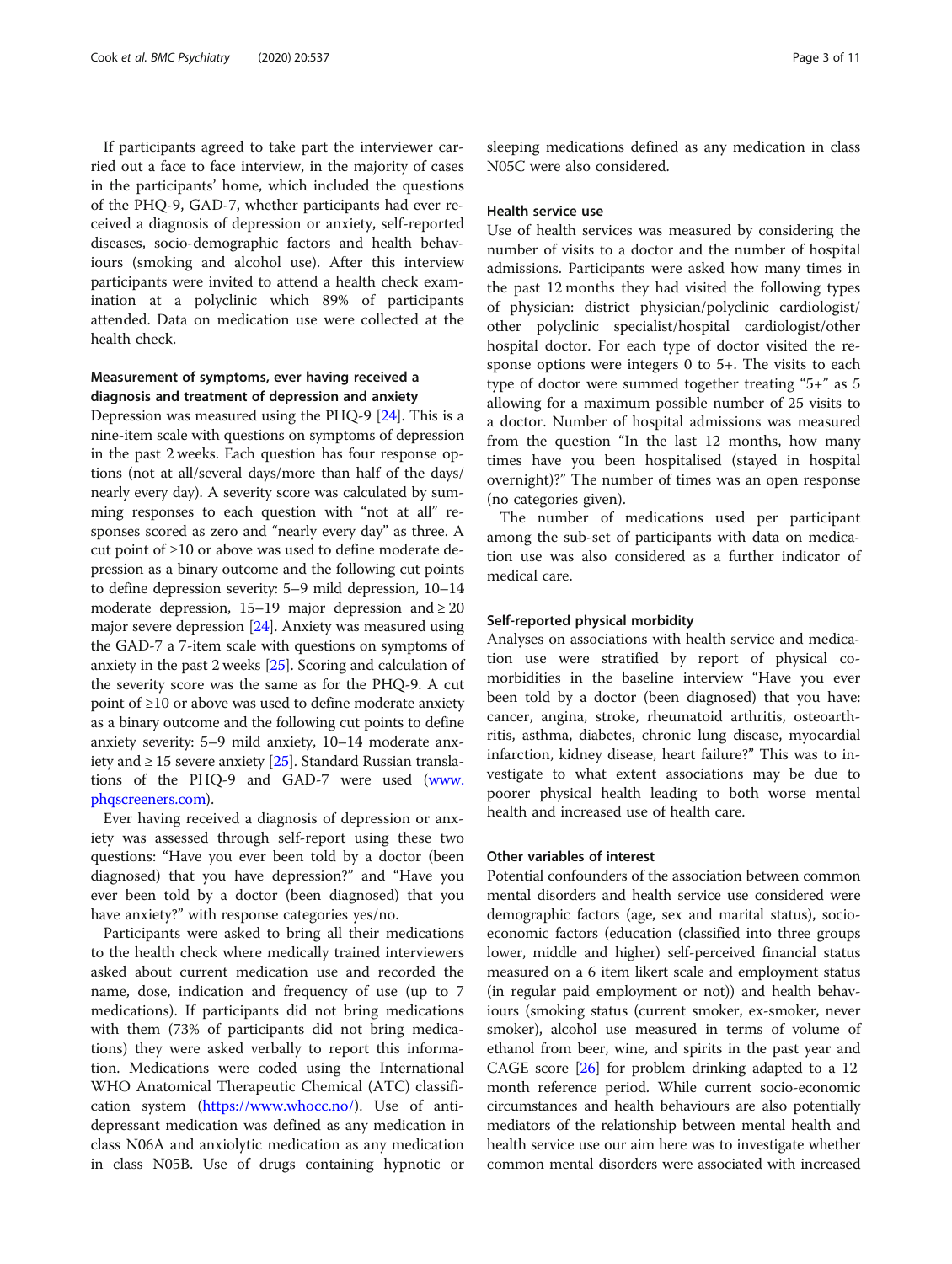If participants agreed to take part the interviewer carried out a face to face interview, in the majority of cases in the participants' home, which included the questions of the PHQ-9, GAD-7, whether participants had ever received a diagnosis of depression or anxiety, self-reported diseases, socio-demographic factors and health behaviours (smoking and alcohol use). After this interview participants were invited to attend a health check examination at a polyclinic which 89% of participants attended. Data on medication use were collected at the health check.

# Measurement of symptoms, ever having received a diagnosis and treatment of depression and anxiety

Depression was measured using the PHQ-9 [\[24](#page-10-0)]. This is a nine-item scale with questions on symptoms of depression in the past 2 weeks. Each question has four response options (not at all/several days/more than half of the days/ nearly every day). A severity score was calculated by summing responses to each question with "not at all" responses scored as zero and "nearly every day" as three. A cut point of ≥10 or above was used to define moderate depression as a binary outcome and the following cut points to define depression severity: 5–9 mild depression, 10–14 moderate depression, 15–19 major depression and  $\geq 20$ major severe depression [[24](#page-10-0)]. Anxiety was measured using the GAD-7 a 7-item scale with questions on symptoms of anxiety in the past 2 weeks [[25\]](#page-10-0). Scoring and calculation of the severity score was the same as for the PHQ-9. A cut point of ≥10 or above was used to define moderate anxiety as a binary outcome and the following cut points to define anxiety severity: 5–9 mild anxiety, 10–14 moderate anxiety and ≥ 15 severe anxiety  $[25]$ . Standard Russian translations of the PHQ-9 and GAD-7 were used [\(www.](http://www.phqscreeners.com) [phqscreeners.com\)](http://www.phqscreeners.com).

Ever having received a diagnosis of depression or anxiety was assessed through self-report using these two questions: "Have you ever been told by a doctor (been diagnosed) that you have depression?" and "Have you ever been told by a doctor (been diagnosed) that you have anxiety?" with response categories yes/no.

Participants were asked to bring all their medications to the health check where medically trained interviewers asked about current medication use and recorded the name, dose, indication and frequency of use (up to 7 medications). If participants did not bring medications with them (73% of participants did not bring medications) they were asked verbally to report this information. Medications were coded using the International WHO Anatomical Therapeutic Chemical (ATC) classification system ([https://www.whocc.no/\)](https://www.whocc.no/). Use of antidepressant medication was defined as any medication in class N06A and anxiolytic medication as any medication in class N05B. Use of drugs containing hypnotic or sleeping medications defined as any medication in class N05C were also considered.

# Health service use

Use of health services was measured by considering the number of visits to a doctor and the number of hospital admissions. Participants were asked how many times in the past 12 months they had visited the following types of physician: district physician/polyclinic cardiologist/ other polyclinic specialist/hospital cardiologist/other hospital doctor. For each type of doctor visited the response options were integers 0 to 5+. The visits to each type of doctor were summed together treating "5+" as 5 allowing for a maximum possible number of 25 visits to a doctor. Number of hospital admissions was measured from the question "In the last 12 months, how many times have you been hospitalised (stayed in hospital overnight)?" The number of times was an open response (no categories given).

The number of medications used per participant among the sub-set of participants with data on medication use was also considered as a further indicator of medical care.

# Self-reported physical morbidity

Analyses on associations with health service and medication use were stratified by report of physical comorbidities in the baseline interview "Have you ever been told by a doctor (been diagnosed) that you have: cancer, angina, stroke, rheumatoid arthritis, osteoarthritis, asthma, diabetes, chronic lung disease, myocardial infarction, kidney disease, heart failure?" This was to investigate to what extent associations may be due to poorer physical health leading to both worse mental health and increased use of health care.

## Other variables of interest

Potential confounders of the association between common mental disorders and health service use considered were demographic factors (age, sex and marital status), socioeconomic factors (education (classified into three groups lower, middle and higher) self-perceived financial status measured on a 6 item likert scale and employment status (in regular paid employment or not)) and health behaviours (smoking status (current smoker, ex-smoker, never smoker), alcohol use measured in terms of volume of ethanol from beer, wine, and spirits in the past year and CAGE score [\[26\]](#page-10-0) for problem drinking adapted to a 12 month reference period. While current socio-economic circumstances and health behaviours are also potentially mediators of the relationship between mental health and health service use our aim here was to investigate whether common mental disorders were associated with increased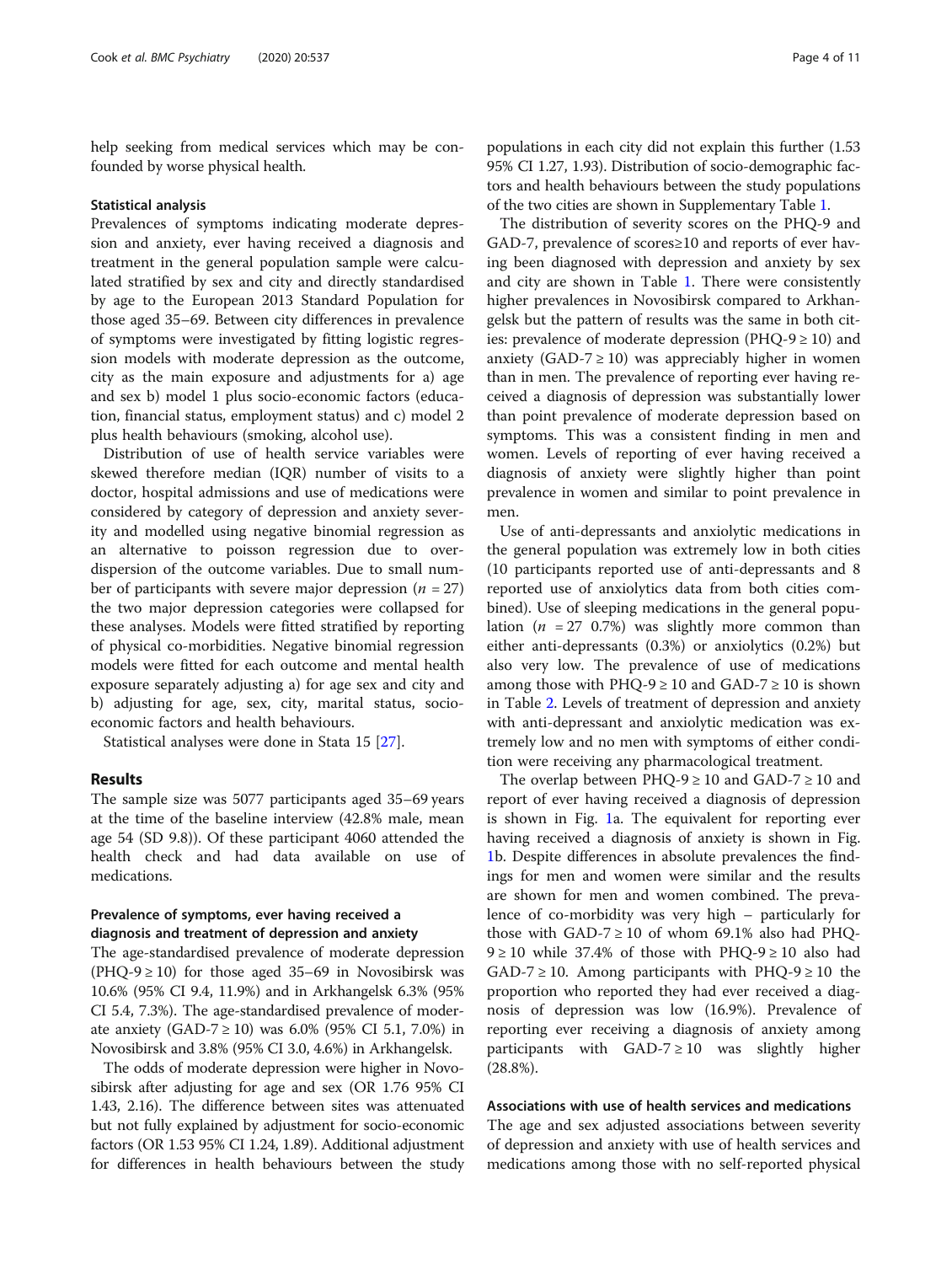help seeking from medical services which may be confounded by worse physical health.

#### Statistical analysis

Prevalences of symptoms indicating moderate depression and anxiety, ever having received a diagnosis and treatment in the general population sample were calculated stratified by sex and city and directly standardised by age to the European 2013 Standard Population for those aged 35–69. Between city differences in prevalence of symptoms were investigated by fitting logistic regression models with moderate depression as the outcome, city as the main exposure and adjustments for a) age and sex b) model 1 plus socio-economic factors (education, financial status, employment status) and c) model 2 plus health behaviours (smoking, alcohol use).

Distribution of use of health service variables were skewed therefore median (IQR) number of visits to a doctor, hospital admissions and use of medications were considered by category of depression and anxiety severity and modelled using negative binomial regression as an alternative to poisson regression due to overdispersion of the outcome variables. Due to small number of participants with severe major depression ( $n = 27$ ) the two major depression categories were collapsed for these analyses. Models were fitted stratified by reporting of physical co-morbidities. Negative binomial regression models were fitted for each outcome and mental health exposure separately adjusting a) for age sex and city and b) adjusting for age, sex, city, marital status, socioeconomic factors and health behaviours.

Statistical analyses were done in Stata 15 [\[27\]](#page-10-0).

### Results

The sample size was 5077 participants aged 35–69 years at the time of the baseline interview (42.8% male, mean age 54 (SD 9.8)). Of these participant 4060 attended the health check and had data available on use of medications.

# Prevalence of symptoms, ever having received a diagnosis and treatment of depression and anxiety

The age-standardised prevalence of moderate depression (PHQ-9  $\geq$  10) for those aged 35–69 in Novosibirsk was 10.6% (95% CI 9.4, 11.9%) and in Arkhangelsk 6.3% (95% CI 5.4, 7.3%). The age-standardised prevalence of moderate anxiety (GAD-7  $\geq$  10) was 6.0% (95% CI 5.1, 7.0%) in Novosibirsk and 3.8% (95% CI 3.0, 4.6%) in Arkhangelsk.

The odds of moderate depression were higher in Novosibirsk after adjusting for age and sex (OR 1.76 95% CI 1.43, 2.16). The difference between sites was attenuated but not fully explained by adjustment for socio-economic factors (OR 1.53 95% CI 1.24, 1.89). Additional adjustment for differences in health behaviours between the study

populations in each city did not explain this further (1.53 95% CI 1.27, 1.93). Distribution of socio-demographic factors and health behaviours between the study populations of the two cities are shown in Supplementary Table [1.](#page-8-0)

The distribution of severity scores on the PHQ-9 and GAD-7, prevalence of scores≥10 and reports of ever having been diagnosed with depression and anxiety by sex and city are shown in Table [1.](#page-4-0) There were consistently higher prevalences in Novosibirsk compared to Arkhangelsk but the pattern of results was the same in both cities: prevalence of moderate depression (PHQ-9  $\geq$  10) and anxiety (GAD-7  $\geq$  10) was appreciably higher in women than in men. The prevalence of reporting ever having received a diagnosis of depression was substantially lower than point prevalence of moderate depression based on symptoms. This was a consistent finding in men and women. Levels of reporting of ever having received a diagnosis of anxiety were slightly higher than point prevalence in women and similar to point prevalence in men.

Use of anti-depressants and anxiolytic medications in the general population was extremely low in both cities (10 participants reported use of anti-depressants and 8 reported use of anxiolytics data from both cities combined). Use of sleeping medications in the general population ( $n = 27$  0.7%) was slightly more common than either anti-depressants (0.3%) or anxiolytics (0.2%) but also very low. The prevalence of use of medications among those with PHQ-9  $\geq$  10 and GAD-7  $\geq$  10 is shown in Table [2.](#page-4-0) Levels of treatment of depression and anxiety with anti-depressant and anxiolytic medication was extremely low and no men with symptoms of either condition were receiving any pharmacological treatment.

The overlap between PHQ-9  $\geq$  10 and GAD-7  $\geq$  10 and report of ever having received a diagnosis of depression is shown in Fig. [1a](#page-5-0). The equivalent for reporting ever having received a diagnosis of anxiety is shown in Fig. [1b](#page-5-0). Despite differences in absolute prevalences the findings for men and women were similar and the results are shown for men and women combined. The prevalence of co-morbidity was very high – particularly for those with GAD-7  $\geq$  10 of whom 69.1% also had PHQ-9 ≥ 10 while 37.4% of those with PHQ-9 ≥ 10 also had  $GAD-7 \ge 10$ . Among participants with PHQ-9  $\ge 10$  the proportion who reported they had ever received a diagnosis of depression was low (16.9%). Prevalence of reporting ever receiving a diagnosis of anxiety among participants with GAD-7  $\geq$  10 was slightly higher (28.8%).

#### Associations with use of health services and medications

The age and sex adjusted associations between severity of depression and anxiety with use of health services and medications among those with no self-reported physical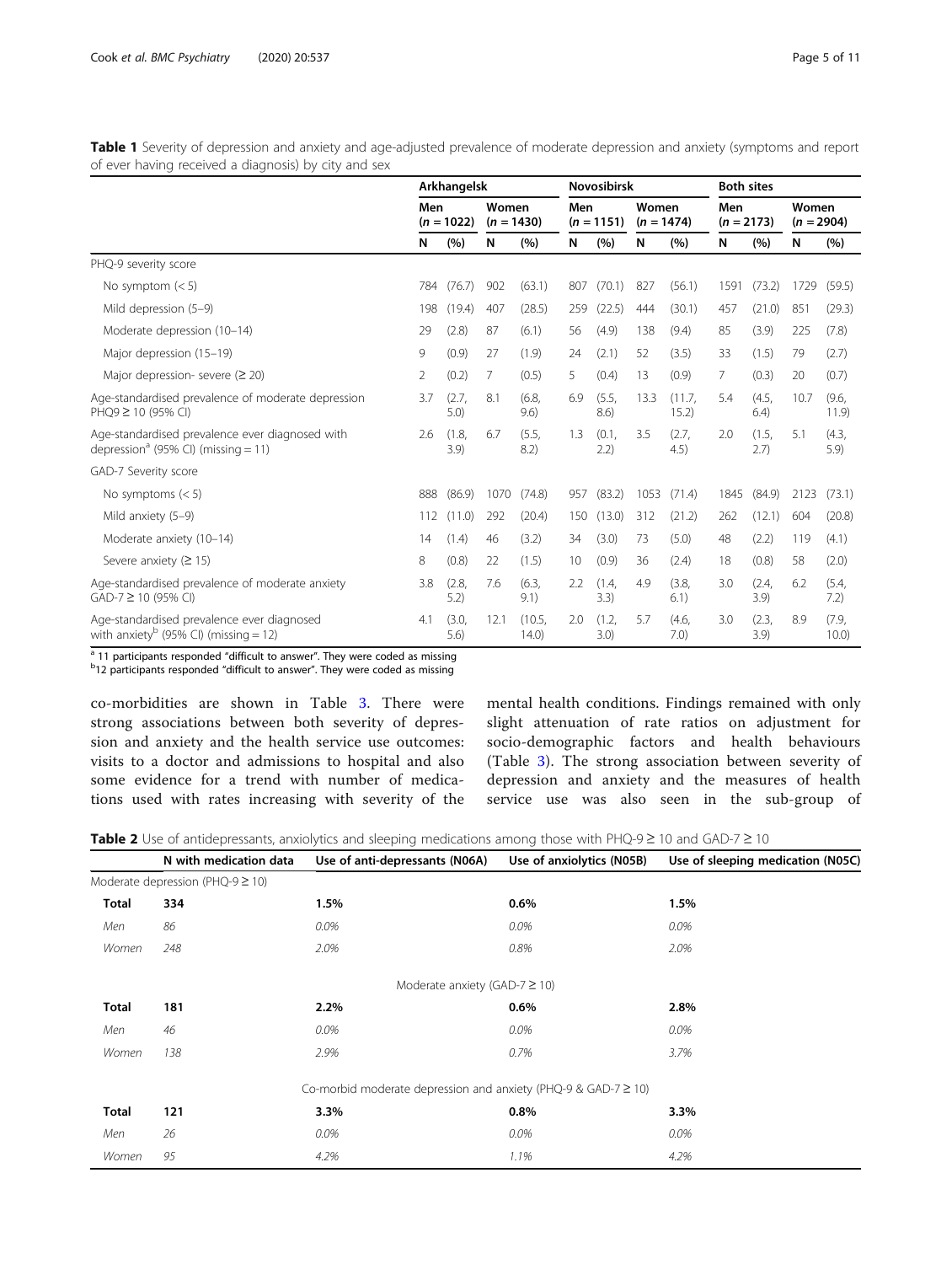<span id="page-4-0"></span>Table 1 Severity of depression and anxiety and age-adjusted prevalence of moderate depression and anxiety (symptoms and report of ever having received a diagnosis) by city and sex

|                                                                                                    |     | Arkhangelsk   |                       |                 |     | <b>Novosibirsk</b> |                       |                 | <b>Both sites</b> |               |                       |                |
|----------------------------------------------------------------------------------------------------|-----|---------------|-----------------------|-----------------|-----|--------------------|-----------------------|-----------------|-------------------|---------------|-----------------------|----------------|
|                                                                                                    | Men | $(n = 1022)$  | Women<br>$(n = 1430)$ |                 | Men | $(n = 1151)$       | Women<br>$(n = 1474)$ |                 | Men               | $(n = 2173)$  | Women<br>$(n = 2904)$ |                |
|                                                                                                    | N   | (%)           | N                     | (%)             | N   | (%)                | N                     | (%)             | N                 | (%)           | N                     | (%)            |
| PHQ-9 severity score                                                                               |     |               |                       |                 |     |                    |                       |                 |                   |               |                       |                |
| No symptom $(< 5)$                                                                                 | 784 | (76.7)        | 902                   | (63.1)          | 807 | (70.1)             | 827                   | (56.1)          | 1591              | (73.2)        | 1729                  | (59.5)         |
| Mild depression (5-9)                                                                              | 198 | (19.4)        | 407                   | (28.5)          | 259 | (22.5)             | 444                   | (30.1)          | 457               | (21.0)        | 851                   | (29.3)         |
| Moderate depression (10-14)                                                                        | 29  | (2.8)         | 87                    | (6.1)           | 56  | (4.9)              | 138                   | (9.4)           | 85                | (3.9)         | 225                   | (7.8)          |
| Major depression (15-19)                                                                           | 9   | (0.9)         | 27                    | (1.9)           | 24  | (2.1)              | 52                    | (3.5)           | 33                | (1.5)         | 79                    | (2.7)          |
| Major depression- severe ( $\geq$ 20)                                                              | 2   | (0.2)         | 7                     | (0.5)           | 5   | (0.4)              | 13                    | (0.9)           | $7\overline{ }$   | (0.3)         | 20                    | (0.7)          |
| Age-standardised prevalence of moderate depression<br>PHQ9 ≥ 10 (95% CI)                           | 3.7 | (2.7,<br>5.0) | 8.1                   | (6.8,<br>9.6)   | 6.9 | (5.5,<br>8.6)      | 13.3                  | (11.7,<br>15.2) | 5.4               | (4.5,<br>6.4) | 10.7                  | (9.6,<br>11.9  |
| Age-standardised prevalence ever diagnosed with<br>depression <sup>a</sup> (95% CI) (missing = 11) | 2.6 | (1.8.<br>3.9) | 6.7                   | (5.5.<br>8.2)   | 1.3 | (0.1,<br>2.2)      | 3.5                   | (2.7.<br>4.5)   | 2.0               | (1.5,<br>2.7) | 5.1                   | (4.3,<br>5.9   |
| GAD-7 Severity score                                                                               |     |               |                       |                 |     |                    |                       |                 |                   |               |                       |                |
| No symptoms $(< 5)$                                                                                | 888 | (86.9)        | 1070                  | (74.8)          | 957 | (83.2)             | 1053                  | (71.4)          | 1845              | (84.9)        | 2123                  | (73.1)         |
| Mild anxiety (5-9)                                                                                 | 112 | (11.0)        | 292                   | (20.4)          | 150 | (13.0)             | 312                   | (21.2)          | 262               | (12.1)        | 604                   | (20.8)         |
| Moderate anxiety (10-14)                                                                           | 14  | (1.4)         | 46                    | (3.2)           | 34  | (3.0)              | 73                    | (5.0)           | 48                | (2.2)         | 119                   | (4.1)          |
| Severe anxiety ( $\geq$ 15)                                                                        | 8   | (0.8)         | 22                    | (1.5)           | 10  | (0.9)              | 36                    | (2.4)           | 18                | (0.8)         | 58                    | (2.0)          |
| Age-standardised prevalence of moderate anxiety<br>GAD-7 ≥ 10 (95% CI)                             | 3.8 | (2.8,<br>5.2) | 7.6                   | (6.3,<br>9.1)   | 2.2 | (1.4,<br>3.3)      | 4.9                   | (3.8,<br>6.1)   | 3.0               | (2.4,<br>3.9  | 6.2                   | (5.4,<br>7.2)  |
| Age-standardised prevalence ever diagnosed<br>with anxiety <sup>b</sup> (95% CI) (missing = 12)    | 4.1 | (3.0,<br>5.6) | 12.1                  | (10.5,<br>14.0) | 2.0 | (1.2,<br>3.0)      | 5.7                   | (4.6,<br>7.0)   | 3.0               | (2.3,<br>3.9) | 8.9                   | (7.9,<br>10.0) |

 $\frac{1}{a}$  11 participants responded "difficult to answer". They were coded as missing

 $b$ 12 participants responded "difficult to answer". They were coded as missing

co-morbidities are shown in Table [3.](#page-6-0) There were strong associations between both severity of depression and anxiety and the health service use outcomes: visits to a doctor and admissions to hospital and also some evidence for a trend with number of medications used with rates increasing with severity of the mental health conditions. Findings remained with only slight attenuation of rate ratios on adjustment for socio-demographic factors and health behaviours (Table [3](#page-6-0)). The strong association between severity of depression and anxiety and the measures of health service use was also seen in the sub-group of

|  |  | Table 2 Use of antidepressants, anxiolytics and sleeping medications among those with PHQ-9 ≥ 10 and GAD-7 ≥ 10 |  |  |
|--|--|-----------------------------------------------------------------------------------------------------------------|--|--|
|  |  |                                                                                                                 |  |  |

|              | N with medication data                | Use of anti-depressants (N06A)                                      | Use of anxiolytics (N05B) | Use of sleeping medication (N05C) |
|--------------|---------------------------------------|---------------------------------------------------------------------|---------------------------|-----------------------------------|
|              | Moderate depression (PHQ-9 $\geq$ 10) |                                                                     |                           |                                   |
| <b>Total</b> | 334                                   | 1.5%                                                                | $0.6\%$                   | 1.5%                              |
| Men          | 86                                    | 0.0%                                                                | 0.0%                      | 0.0%                              |
| Women        | 248                                   | 2.0%                                                                | 0.8%                      | 2.0%                              |
|              |                                       | Moderate anxiety (GAD-7 $\geq$ 10)                                  |                           |                                   |
| Total        | 181                                   | 2.2%                                                                | $0.6\%$                   | 2.8%                              |
| Men          | 46                                    | 0.0%                                                                | 0.0%                      | 0.0%                              |
| Women        | 138                                   | 2.9%                                                                | 0.7%                      | 3.7%                              |
|              |                                       | Co-morbid moderate depression and anxiety (PHQ-9 & GAD-7 $\geq$ 10) |                           |                                   |
| <b>Total</b> | 121                                   | 3.3%                                                                | 0.8%                      | 3.3%                              |
| Men          | 26                                    | 0.0%                                                                | 0.0%                      | 0.0%                              |
| Women        | 95                                    | 4.2%                                                                | 1.1%                      | 4.2%                              |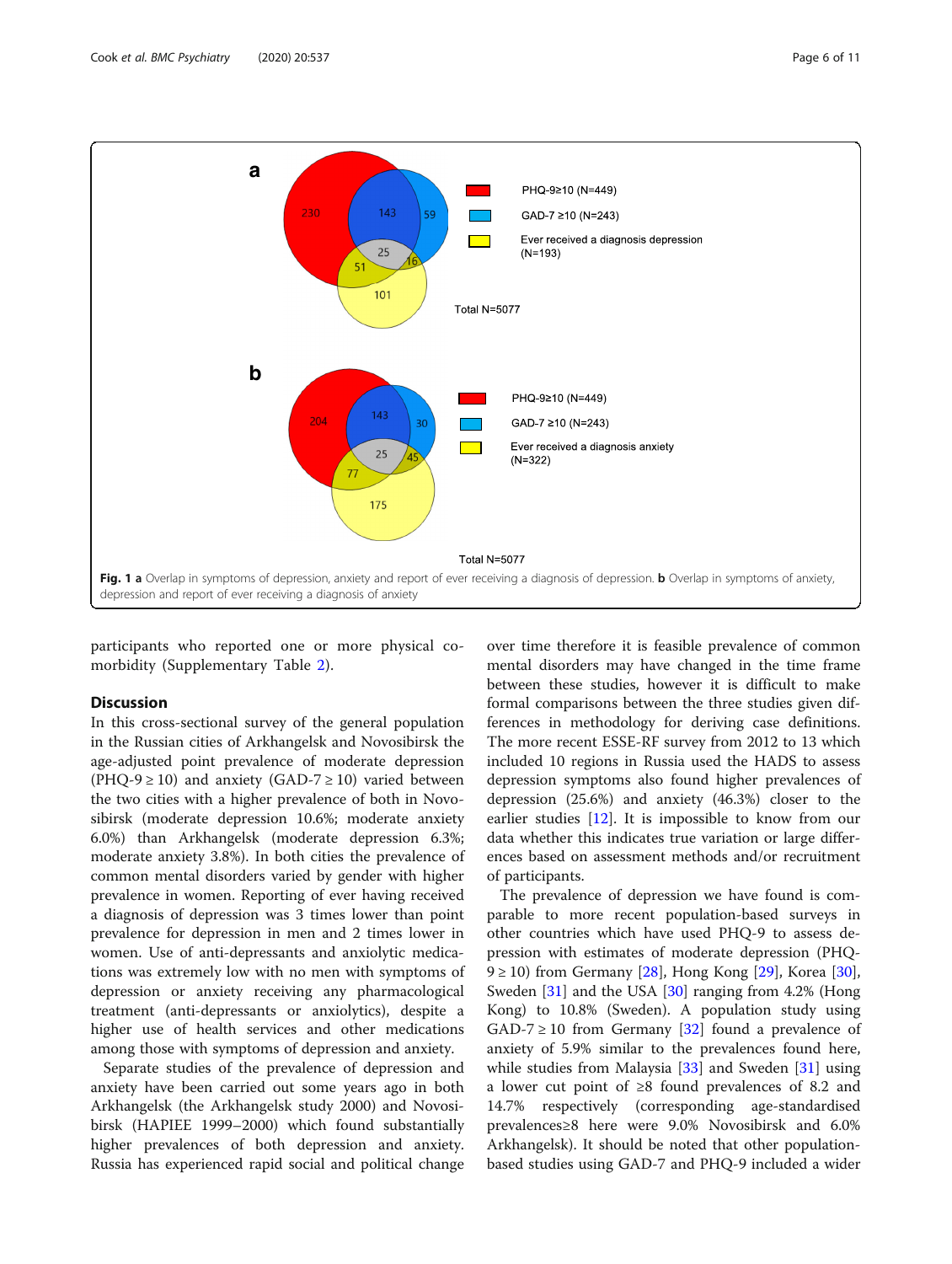<span id="page-5-0"></span>

participants who reported one or more physical comorbidity (Supplementary Table [2](#page-9-0)).

#### **Discussion**

In this cross-sectional survey of the general population in the Russian cities of Arkhangelsk and Novosibirsk the age-adjusted point prevalence of moderate depression (PHQ-9  $\geq$  10) and anxiety (GAD-7  $\geq$  10) varied between the two cities with a higher prevalence of both in Novosibirsk (moderate depression 10.6%; moderate anxiety 6.0%) than Arkhangelsk (moderate depression 6.3%; moderate anxiety 3.8%). In both cities the prevalence of common mental disorders varied by gender with higher prevalence in women. Reporting of ever having received a diagnosis of depression was 3 times lower than point prevalence for depression in men and 2 times lower in women. Use of anti-depressants and anxiolytic medications was extremely low with no men with symptoms of depression or anxiety receiving any pharmacological treatment (anti-depressants or anxiolytics), despite a higher use of health services and other medications among those with symptoms of depression and anxiety.

Separate studies of the prevalence of depression and anxiety have been carried out some years ago in both Arkhangelsk (the Arkhangelsk study 2000) and Novosibirsk (HAPIEE 1999–2000) which found substantially higher prevalences of both depression and anxiety. Russia has experienced rapid social and political change

over time therefore it is feasible prevalence of common mental disorders may have changed in the time frame between these studies, however it is difficult to make formal comparisons between the three studies given differences in methodology for deriving case definitions. The more recent ESSE-RF survey from 2012 to 13 which included 10 regions in Russia used the HADS to assess depression symptoms also found higher prevalences of depression (25.6%) and anxiety (46.3%) closer to the earlier studies [[12\]](#page-9-0). It is impossible to know from our data whether this indicates true variation or large differences based on assessment methods and/or recruitment of participants.

The prevalence of depression we have found is comparable to more recent population-based surveys in other countries which have used PHQ-9 to assess depression with estimates of moderate depression (PHQ- $9 \ge 10$ ) from Germany [\[28](#page-10-0)], Hong Kong [[29](#page-10-0)], Korea [\[30](#page-10-0)], Sweden [\[31](#page-10-0)] and the USA [[30\]](#page-10-0) ranging from 4.2% (Hong Kong) to 10.8% (Sweden). A population study using  $GAD-7 \ge 10$  from Germany [[32\]](#page-10-0) found a prevalence of anxiety of 5.9% similar to the prevalences found here, while studies from Malaysia [\[33](#page-10-0)] and Sweden [\[31](#page-10-0)] using a lower cut point of ≥8 found prevalences of 8.2 and 14.7% respectively (corresponding age-standardised prevalences≥8 here were 9.0% Novosibirsk and 6.0% Arkhangelsk). It should be noted that other populationbased studies using GAD-7 and PHQ-9 included a wider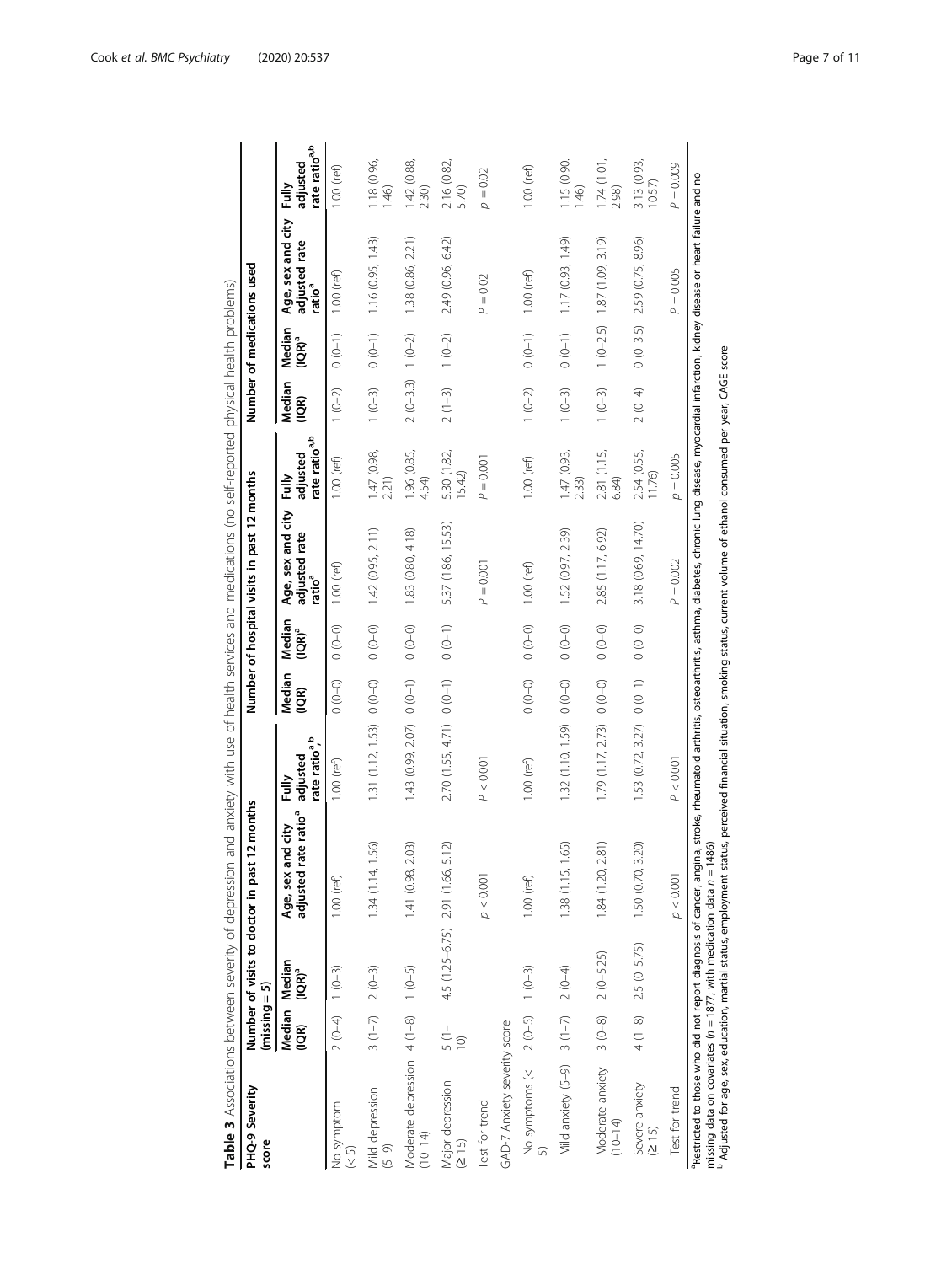<span id="page-6-0"></span>

| PHQ-9 Severity<br>score                            | $(missing = 5)$                   | Number of visits to doctor in past | 2 months                                              |                                                |                           |                     | Number of hospital visits in past 12 months  |                                                   |                           |                      | Number of medications used                               |                                                |
|----------------------------------------------------|-----------------------------------|------------------------------------|-------------------------------------------------------|------------------------------------------------|---------------------------|---------------------|----------------------------------------------|---------------------------------------------------|---------------------------|----------------------|----------------------------------------------------------|------------------------------------------------|
|                                                    | $\widetilde{q}$                   | Median Median<br>$(IQR)^a$         | adjusted rate ratio <sup>a</sup><br>Age, sex and city | rate ratio <sup>a,b</sup><br>adjusted<br>Fully | Median<br>$\overline{10}$ | Median<br>$(1QR)^a$ | Age, sex and city<br>adjusted rate<br>ratioª | rate ratio <sup>a,b</sup><br>adjusted<br>≧<br>Ful | Median<br>$\widetilde{B}$ | Median<br>$( IQR)^a$ | Age, sex and city<br>adjusted rate<br>ratio <sup>a</sup> | rate ratio <sup>a,b</sup><br>adjusted<br>Fully |
| No symptom<br>(5)                                  | $2(0-4)$ 1 $(0-3)$                |                                    | $1.00$ (ref)                                          | $1.00$ (ref)                                   | $(0 - 0)$                 | $(0 - 0)$           | $1.00$ (ref)                                 | $1.00$ (ref)                                      | $1(0-2)$                  | $(0 - 1)$            | $1.00$ (ref)                                             | $1.00$ (ref)                                   |
| Mild depression<br>$(5 - 9)$                       | $3(1-7)$ 2 $(0-3)$                |                                    | 1.34(1.14, 1.56)                                      | 1.31 (1.12, 1.53)                              | $0 - 0$                   | $(0 - 0)$           | 1.42 (0.95, 2.11)                            | 1.47 (0.98,<br>2.21)                              | $1(0-3)$                  | $0(0-1)$             | 1.16 (0.95, 1.43)                                        | 1.18(0.96, 1.46)                               |
| Moderate depression 4 (1-8) 1 (0-5)<br>$(10 - 14)$ |                                   |                                    | 1.41 (0.98, 2.03)                                     | 1.43 (0.99, 2.07)                              | $(0 - 1)$                 | $(0 - 0)$           | 1.83 (0.80, 4.18)                            | 1.96 (0.85,<br>4.54)                              | $2(0-3.3)$                | $1(0-2)$             | 1.38 (0.86, 2.21)                                        | 1.42 (0.88,<br>2.30)                           |
| Major depression<br>(215)                          | $\frac{1}{5}$ (1 –<br>$\supseteq$ | 4.5 (1.25-6.75) 2.91 (1.66, 5.1    | ส                                                     | $2.70$ $(1.55, 4.71)$ 0 $(0-1)$                |                           | $0(0-1)$            | 5.37 (1.86, 15.53)                           | 5.30 (1.82,<br>15.42)                             | $2(1-3)$                  | $1(0-2)$             | 2.49 (0.96, 6.42)                                        | 2.16 (0.82,<br>5.70)                           |
| Test for trend                                     |                                   |                                    | p < 0.001                                             | P < 0.001                                      |                           |                     | $P = 0.001$                                  | $P = 0.001$                                       |                           |                      | $= 0.02$<br>$\Delta$                                     | $\rho=0.02$                                    |
| GAD-7 Anxiety severity score                       |                                   |                                    |                                                       |                                                |                           |                     |                                              |                                                   |                           |                      |                                                          |                                                |
| No symptoms (<                                     | $2(0-5)$                          | $1(0-3)$                           | $1.00$ (ref)                                          | $1.00$ (ref)                                   | $(0 - 0)$                 | $(0 - 0)$           | $1.00$ (ref)                                 | $1.00$ (ref)                                      | $1(0-2)$                  | $(0 - 1)$            | $1.00$ (ref)                                             | $1.00$ (ref)                                   |
| Mild anxiety (5-9) 3 (1-7) 2 (0-4)                 |                                   |                                    | 1.38(1.15, 1.65)                                      | 1.32 (1.10, 1.59)                              | $(0 - 0)$                 | $(0 - 0)$           | 1.52 (0.97, 2.39)                            | 1.47 (0.93,<br>2.33)                              | $1(0-3)$                  | $(0 - 1)$            | 1.17 (0.93, 1.49)                                        | 1.15(0.90.146)                                 |
| Moderate anxiety<br>$(10 - 14)$                    | $3(0-8)$                          | $2(0 - 5.25)$                      | 1.84(1.20, 2.81)                                      | 1.79 (1.17, 2.73)                              | $(0 - 0)$                 | $(0 - 0)$           | 2.85 (1.17, 6.92)                            | 2.81 (1.15,<br>6.84)                              | $1(0-3)$                  | $1(0-2.5)$           | 1.87 (1.09, 3.19)                                        | 1.74(1.01, 2.98)                               |
| Severe anxiety<br>(215)                            |                                   | $4(1-8)$ 2.5 $(0-5.75)$            | 1.50 (0.70, 3.20)                                     | $1.53$ (0.72, 3.27) 0 (0-1)                    |                           | $(0 - 0)$           | 3.18 (0.69, 14.70)                           | 2.54 (0.55,<br>11.76)                             | $2(0-4)$                  | $0(0-3.5)$           | 2.59 (0.75, 8.96)                                        | 3.13 (0.93,<br>10.57)                          |
| Test for trend                                     |                                   |                                    | p < 0.001                                             | P < 0.001                                      |                           |                     | $P = 0.002$                                  | $p = 0.005$                                       |                           |                      | $= 0.005$<br>$\Delta$                                    | $P = 0.009$                                    |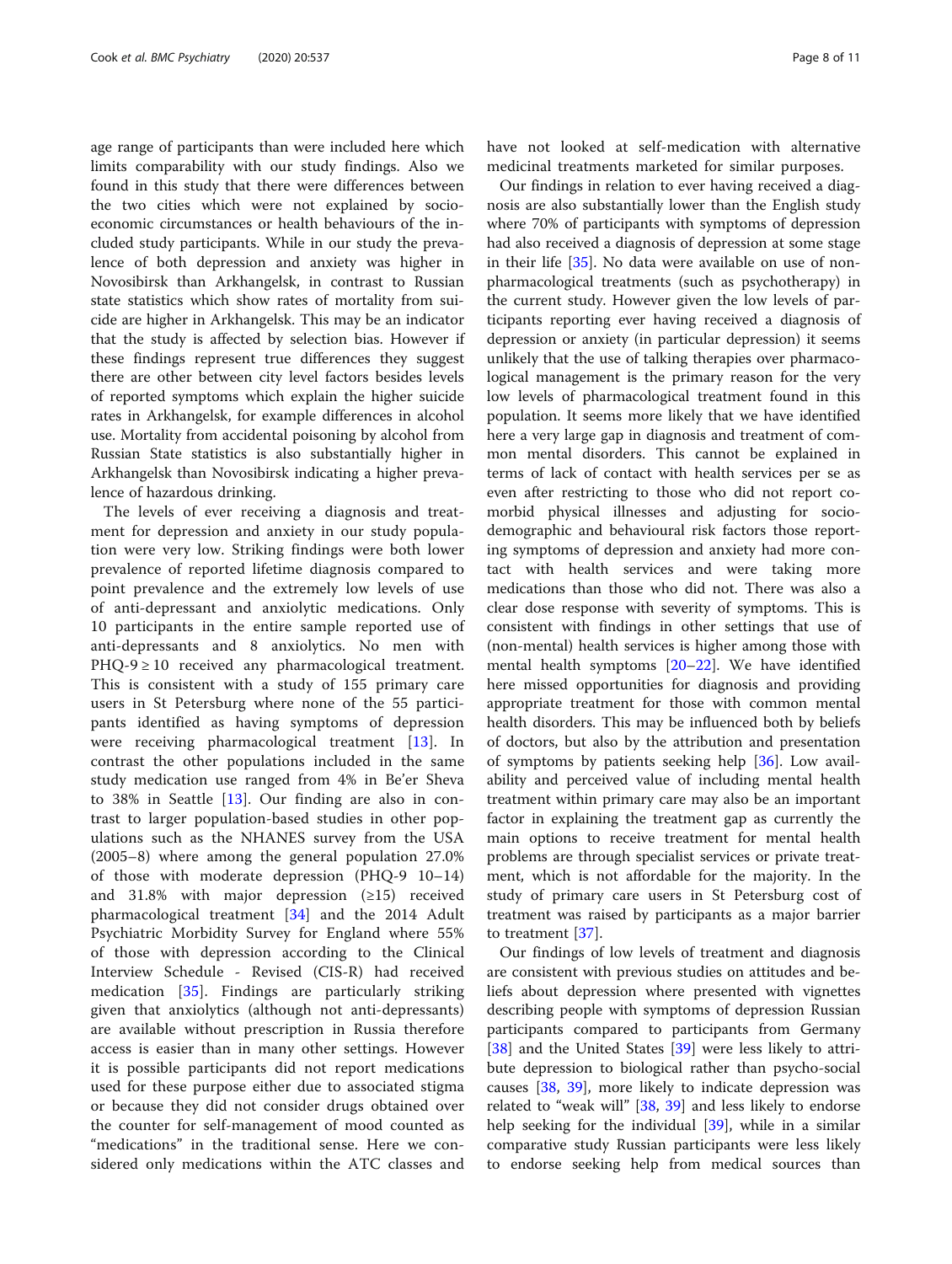age range of participants than were included here which limits comparability with our study findings. Also we found in this study that there were differences between the two cities which were not explained by socioeconomic circumstances or health behaviours of the included study participants. While in our study the prevalence of both depression and anxiety was higher in Novosibirsk than Arkhangelsk, in contrast to Russian state statistics which show rates of mortality from suicide are higher in Arkhangelsk. This may be an indicator that the study is affected by selection bias. However if these findings represent true differences they suggest there are other between city level factors besides levels of reported symptoms which explain the higher suicide rates in Arkhangelsk, for example differences in alcohol use. Mortality from accidental poisoning by alcohol from Russian State statistics is also substantially higher in Arkhangelsk than Novosibirsk indicating a higher prevalence of hazardous drinking.

The levels of ever receiving a diagnosis and treatment for depression and anxiety in our study population were very low. Striking findings were both lower prevalence of reported lifetime diagnosis compared to point prevalence and the extremely low levels of use of anti-depressant and anxiolytic medications. Only 10 participants in the entire sample reported use of anti-depressants and 8 anxiolytics. No men with  $PHQ-9 \ge 10$  received any pharmacological treatment. This is consistent with a study of 155 primary care users in St Petersburg where none of the 55 participants identified as having symptoms of depression were receiving pharmacological treatment [\[13](#page-9-0)]. In contrast the other populations included in the same study medication use ranged from 4% in Be'er Sheva to 38% in Seattle  $[13]$  $[13]$ . Our finding are also in contrast to larger population-based studies in other populations such as the NHANES survey from the USA (2005–8) where among the general population 27.0% of those with moderate depression (PHQ-9 10–14) and 31.8% with major depression  $(\geq 15)$  received pharmacological treatment [\[34](#page-10-0)] and the 2014 Adult Psychiatric Morbidity Survey for England where 55% of those with depression according to the Clinical Interview Schedule - Revised (CIS-R) had received medication [[35\]](#page-10-0). Findings are particularly striking given that anxiolytics (although not anti-depressants) are available without prescription in Russia therefore access is easier than in many other settings. However it is possible participants did not report medications used for these purpose either due to associated stigma or because they did not consider drugs obtained over the counter for self-management of mood counted as "medications" in the traditional sense. Here we considered only medications within the ATC classes and have not looked at self-medication with alternative medicinal treatments marketed for similar purposes.

Our findings in relation to ever having received a diagnosis are also substantially lower than the English study where 70% of participants with symptoms of depression had also received a diagnosis of depression at some stage in their life [\[35](#page-10-0)]. No data were available on use of nonpharmacological treatments (such as psychotherapy) in the current study. However given the low levels of participants reporting ever having received a diagnosis of depression or anxiety (in particular depression) it seems unlikely that the use of talking therapies over pharmacological management is the primary reason for the very low levels of pharmacological treatment found in this population. It seems more likely that we have identified here a very large gap in diagnosis and treatment of common mental disorders. This cannot be explained in terms of lack of contact with health services per se as even after restricting to those who did not report comorbid physical illnesses and adjusting for sociodemographic and behavioural risk factors those reporting symptoms of depression and anxiety had more contact with health services and were taking more medications than those who did not. There was also a clear dose response with severity of symptoms. This is consistent with findings in other settings that use of (non-mental) health services is higher among those with mental health symptoms [[20](#page-10-0)–[22](#page-10-0)]. We have identified here missed opportunities for diagnosis and providing appropriate treatment for those with common mental health disorders. This may be influenced both by beliefs of doctors, but also by the attribution and presentation of symptoms by patients seeking help [[36\]](#page-10-0). Low availability and perceived value of including mental health treatment within primary care may also be an important factor in explaining the treatment gap as currently the main options to receive treatment for mental health problems are through specialist services or private treatment, which is not affordable for the majority. In the study of primary care users in St Petersburg cost of treatment was raised by participants as a major barrier to treatment [\[37\]](#page-10-0).

Our findings of low levels of treatment and diagnosis are consistent with previous studies on attitudes and beliefs about depression where presented with vignettes describing people with symptoms of depression Russian participants compared to participants from Germany [[38\]](#page-10-0) and the United States [[39\]](#page-10-0) were less likely to attribute depression to biological rather than psycho-social causes [\[38](#page-10-0), [39\]](#page-10-0), more likely to indicate depression was related to "weak will" [[38,](#page-10-0) [39](#page-10-0)] and less likely to endorse help seeking for the individual [\[39](#page-10-0)], while in a similar comparative study Russian participants were less likely to endorse seeking help from medical sources than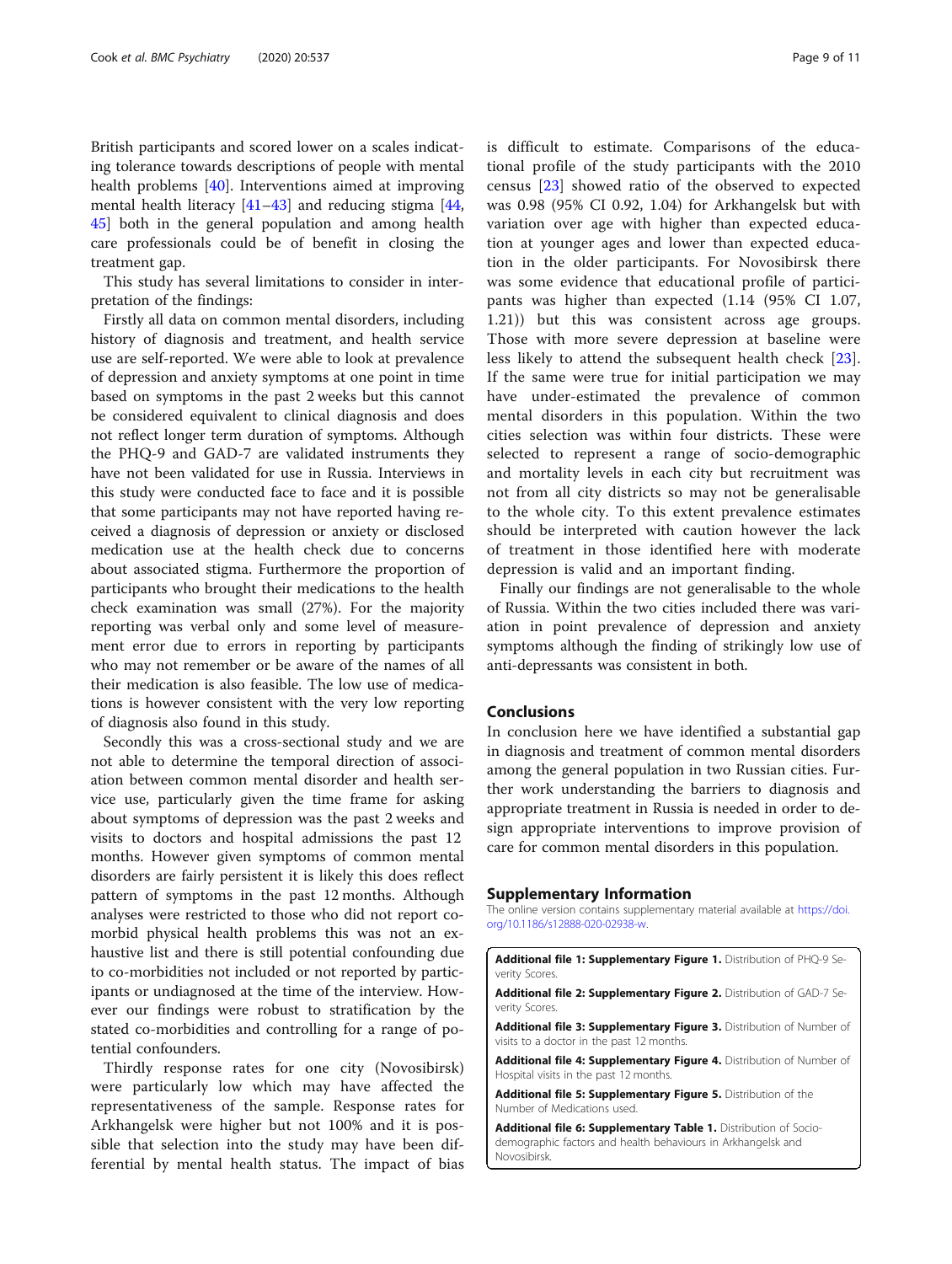<span id="page-8-0"></span>British participants and scored lower on a scales indicating tolerance towards descriptions of people with mental health problems [[40\]](#page-10-0). Interventions aimed at improving mental health literacy [\[41](#page-10-0)–[43\]](#page-10-0) and reducing stigma [[44](#page-10-0), [45\]](#page-10-0) both in the general population and among health care professionals could be of benefit in closing the treatment gap.

This study has several limitations to consider in interpretation of the findings:

Firstly all data on common mental disorders, including history of diagnosis and treatment, and health service use are self-reported. We were able to look at prevalence of depression and anxiety symptoms at one point in time based on symptoms in the past 2 weeks but this cannot be considered equivalent to clinical diagnosis and does not reflect longer term duration of symptoms. Although the PHQ-9 and GAD-7 are validated instruments they have not been validated for use in Russia. Interviews in this study were conducted face to face and it is possible that some participants may not have reported having received a diagnosis of depression or anxiety or disclosed medication use at the health check due to concerns about associated stigma. Furthermore the proportion of participants who brought their medications to the health check examination was small (27%). For the majority reporting was verbal only and some level of measurement error due to errors in reporting by participants who may not remember or be aware of the names of all their medication is also feasible. The low use of medications is however consistent with the very low reporting of diagnosis also found in this study.

Secondly this was a cross-sectional study and we are not able to determine the temporal direction of association between common mental disorder and health service use, particularly given the time frame for asking about symptoms of depression was the past 2 weeks and visits to doctors and hospital admissions the past 12 months. However given symptoms of common mental disorders are fairly persistent it is likely this does reflect pattern of symptoms in the past 12 months. Although analyses were restricted to those who did not report comorbid physical health problems this was not an exhaustive list and there is still potential confounding due to co-morbidities not included or not reported by participants or undiagnosed at the time of the interview. However our findings were robust to stratification by the stated co-morbidities and controlling for a range of potential confounders.

Thirdly response rates for one city (Novosibirsk) were particularly low which may have affected the representativeness of the sample. Response rates for Arkhangelsk were higher but not 100% and it is possible that selection into the study may have been differential by mental health status. The impact of bias is difficult to estimate. Comparisons of the educational profile of the study participants with the 2010 census [[23](#page-10-0)] showed ratio of the observed to expected was 0.98 (95% CI 0.92, 1.04) for Arkhangelsk but with variation over age with higher than expected education at younger ages and lower than expected education in the older participants. For Novosibirsk there was some evidence that educational profile of participants was higher than expected (1.14 (95% CI 1.07, 1.21)) but this was consistent across age groups. Those with more severe depression at baseline were less likely to attend the subsequent health check [\[23](#page-10-0)]. If the same were true for initial participation we may have under-estimated the prevalence of common mental disorders in this population. Within the two cities selection was within four districts. These were selected to represent a range of socio-demographic and mortality levels in each city but recruitment was not from all city districts so may not be generalisable to the whole city. To this extent prevalence estimates should be interpreted with caution however the lack of treatment in those identified here with moderate depression is valid and an important finding.

Finally our findings are not generalisable to the whole of Russia. Within the two cities included there was variation in point prevalence of depression and anxiety symptoms although the finding of strikingly low use of anti-depressants was consistent in both.

# Conclusions

In conclusion here we have identified a substantial gap in diagnosis and treatment of common mental disorders among the general population in two Russian cities. Further work understanding the barriers to diagnosis and appropriate treatment in Russia is needed in order to design appropriate interventions to improve provision of care for common mental disorders in this population.

#### Supplementary Information

The online version contains supplementary material available at [https://doi.](https://doi.org/10.1186/s12888-020-02938-w) [org/10.1186/s12888-020-02938-w](https://doi.org/10.1186/s12888-020-02938-w).

Additional file 1: Supplementary Figure 1. Distribution of PHQ-9 Severity Scores.

Additional file 2: Supplementary Figure 2. Distribution of GAD-7 Severity Scores.

Additional file 3: Supplementary Figure 3. Distribution of Number of visits to a doctor in the past 12 months.

Additional file 4: Supplementary Figure 4. Distribution of Number of Hospital visits in the past 12 months.

Additional file 5: Supplementary Figure 5. Distribution of the Number of Medications used.

Additional file 6: Supplementary Table 1. Distribution of Sociodemographic factors and health behaviours in Arkhangelsk and Novosibirsk.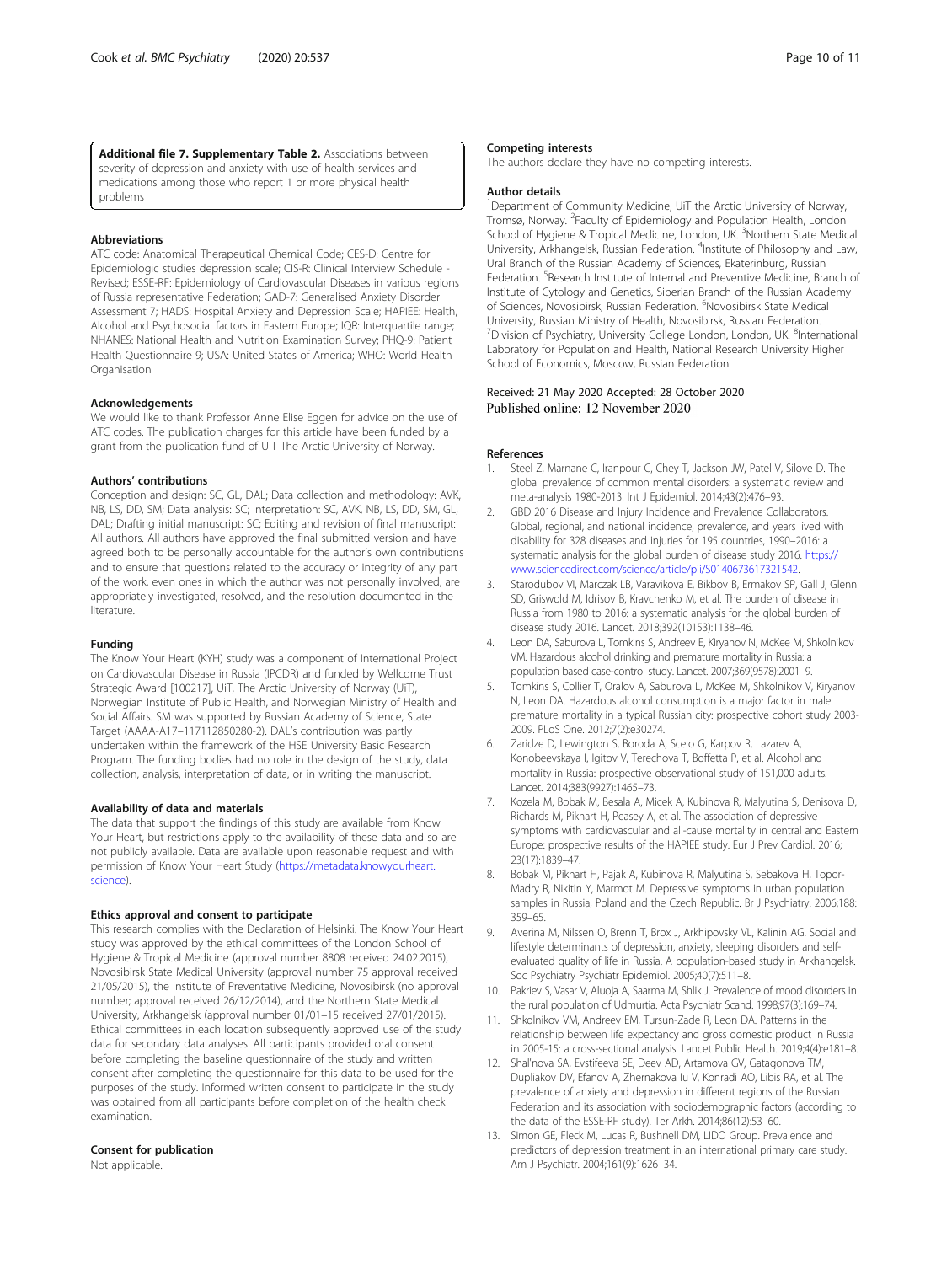<span id="page-9-0"></span>Additional file 7. Supplementary Table 2. Associations between severity of depression and anxiety with use of health services and medications among those who report 1 or more physical health problems

#### Abbreviations

ATC code: Anatomical Therapeutical Chemical Code; CES-D: Centre for Epidemiologic studies depression scale; CIS-R: Clinical Interview Schedule - Revised; ESSE-RF: Epidemiology of Cardiovascular Diseases in various regions of Russia representative Federation; GAD-7: Generalised Anxiety Disorder Assessment 7; HADS: Hospital Anxiety and Depression Scale; HAPIEE: Health, Alcohol and Psychosocial factors in Eastern Europe; IQR: Interquartile range; NHANES: National Health and Nutrition Examination Survey; PHQ-9: Patient Health Questionnaire 9; USA: United States of America; WHO: World Health Organisation

#### Acknowledgements

We would like to thank Professor Anne Elise Eggen for advice on the use of ATC codes. The publication charges for this article have been funded by a grant from the publication fund of UiT The Arctic University of Norway.

#### Authors' contributions

Conception and design: SC, GL, DAL; Data collection and methodology: AVK, NB, LS, DD, SM; Data analysis: SC; Interpretation: SC, AVK, NB, LS, DD, SM, GL, DAL; Drafting initial manuscript: SC; Editing and revision of final manuscript: All authors. All authors have approved the final submitted version and have agreed both to be personally accountable for the author's own contributions and to ensure that questions related to the accuracy or integrity of any part of the work, even ones in which the author was not personally involved, are appropriately investigated, resolved, and the resolution documented in the literature.

#### Funding

The Know Your Heart (KYH) study was a component of International Project on Cardiovascular Disease in Russia (IPCDR) and funded by Wellcome Trust Strategic Award [100217], UiT, The Arctic University of Norway (UiT), Norwegian Institute of Public Health, and Norwegian Ministry of Health and Social Affairs. SM was supported by Russian Academy of Science, State Target (АААА-А17–117112850280-2). DAL's contribution was partly undertaken within the framework of the HSE University Basic Research Program. The funding bodies had no role in the design of the study, data collection, analysis, interpretation of data, or in writing the manuscript.

#### Availability of data and materials

The data that support the findings of this study are available from Know Your Heart, but restrictions apply to the availability of these data and so are not publicly available. Data are available upon reasonable request and with permission of Know Your Heart Study ([https://metadata.knowyourheart.](https://metadata.knowyourheart.science) [science\)](https://metadata.knowyourheart.science).

#### Ethics approval and consent to participate

This research complies with the Declaration of Helsinki. The Know Your Heart study was approved by the ethical committees of the London School of Hygiene & Tropical Medicine (approval number 8808 received 24.02.2015), Novosibirsk State Medical University (approval number 75 approval received 21/05/2015), the Institute of Preventative Medicine, Novosibirsk (no approval number; approval received 26/12/2014), and the Northern State Medical University, Arkhangelsk (approval number 01/01–15 received 27/01/2015). Ethical committees in each location subsequently approved use of the study data for secondary data analyses. All participants provided oral consent before completing the baseline questionnaire of the study and written consent after completing the questionnaire for this data to be used for the purposes of the study. Informed written consent to participate in the study was obtained from all participants before completion of the health check examination.

#### Consent for publication

Not applicable.

#### Competing interests

The authors declare they have no competing interests.

#### Author details

<sup>1</sup>Department of Community Medicine, UiT the Arctic University of Norway, Tromsø, Norway. <sup>2</sup>Faculty of Epidemiology and Population Health, London School of Hygiene & Tropical Medicine, London, UK. <sup>3</sup>Northern State Medical University, Arkhangelsk, Russian Federation. <sup>4</sup>Institute of Philosophy and Law, Ural Branch of the Russian Academy of Sciences, Ekaterinburg, Russian Federation.<sup>5</sup> Research Institute of Internal and Preventive Medicine, Branch of Institute of Cytology and Genetics, Siberian Branch of the Russian Academy of Sciences, Novosibirsk, Russian Federation. <sup>6</sup>Novosibirsk State Medical University, Russian Ministry of Health, Novosibirsk, Russian Federation. <sup>7</sup> Division of Psychiatry, University College London, London, UK. <sup>8</sup>International Laboratory for Population and Health, National Research University Higher School of Economics, Moscow, Russian Federation.

#### Received: 21 May 2020 Accepted: 28 October 2020 Published online: 12 November 2020

#### References

- Steel Z, Marnane C, Iranpour C, Chey T, Jackson JW, Patel V, Silove D. The global prevalence of common mental disorders: a systematic review and meta-analysis 1980-2013. Int J Epidemiol. 2014;43(2):476–93.
- GBD 2016 Disease and Injury Incidence and Prevalence Collaborators. Global, regional, and national incidence, prevalence, and years lived with disability for 328 diseases and injuries for 195 countries, 1990–2016: a systematic analysis for the global burden of disease study 2016. [https://](https://www.sciencedirect.com/science/article/pii/S0140673617321542) [www.sciencedirect.com/science/article/pii/S0140673617321542](https://www.sciencedirect.com/science/article/pii/S0140673617321542).
- 3. Starodubov VI, Marczak LB, Varavikova E, Bikbov B, Ermakov SP, Gall J, Glenn SD, Griswold M, Idrisov B, Kravchenko M, et al. The burden of disease in Russia from 1980 to 2016: a systematic analysis for the global burden of disease study 2016. Lancet. 2018;392(10153):1138–46.
- 4. Leon DA, Saburova L, Tomkins S, Andreev E, Kiryanov N, McKee M, Shkolnikov VM. Hazardous alcohol drinking and premature mortality in Russia: a population based case-control study. Lancet. 2007;369(9578):2001–9.
- 5. Tomkins S, Collier T, Oralov A, Saburova L, McKee M, Shkolnikov V, Kiryanov N, Leon DA. Hazardous alcohol consumption is a major factor in male premature mortality in a typical Russian city: prospective cohort study 2003- 2009. PLoS One. 2012;7(2):e30274.
- 6. Zaridze D, Lewington S, Boroda A, Scelo G, Karpov R, Lazarev A, Konobeevskaya I, Igitov V, Terechova T, Boffetta P, et al. Alcohol and mortality in Russia: prospective observational study of 151,000 adults. Lancet. 2014;383(9927):1465–73.
- 7. Kozela M, Bobak M, Besala A, Micek A, Kubinova R, Malyutina S, Denisova D, Richards M, Pikhart H, Peasey A, et al. The association of depressive symptoms with cardiovascular and all-cause mortality in central and Eastern Europe: prospective results of the HAPIEE study. Eur J Prev Cardiol. 2016; 23(17):1839–47.
- 8. Bobak M, Pikhart H, Pajak A, Kubinova R, Malyutina S, Sebakova H, Topor-Madry R, Nikitin Y, Marmot M. Depressive symptoms in urban population samples in Russia, Poland and the Czech Republic. Br J Psychiatry. 2006;188: 359–65.
- 9. Averina M, Nilssen O, Brenn T, Brox J, Arkhipovsky VL, Kalinin AG. Social and lifestyle determinants of depression, anxiety, sleeping disorders and selfevaluated quality of life in Russia. A population-based study in Arkhangelsk. Soc Psychiatry Psychiatr Epidemiol. 2005;40(7):511–8.
- 10. Pakriev S, Vasar V, Aluoja A, Saarma M, Shlik J. Prevalence of mood disorders in the rural population of Udmurtia. Acta Psychiatr Scand. 1998;97(3):169–74.
- 11. Shkolnikov VM, Andreev EM, Tursun-Zade R, Leon DA. Patterns in the relationship between life expectancy and gross domestic product in Russia in 2005-15: a cross-sectional analysis. Lancet Public Health. 2019;4(4):e181–8.
- 12. Shal'nova SA, Evstifeeva SE, Deev AD, Artamova GV, Gatagonova TM, Dupliakov DV, Efanov A, Zhernakova Iu V, Konradi AO, Libis RA, et al. The prevalence of anxiety and depression in different regions of the Russian Federation and its association with sociodemographic factors (according to the data of the ESSE-RF study). Ter Arkh. 2014;86(12):53–60.
- 13. Simon GE, Fleck M, Lucas R, Bushnell DM, LIDO Group. Prevalence and predictors of depression treatment in an international primary care study. Am J Psychiatr. 2004;161(9):1626–34.